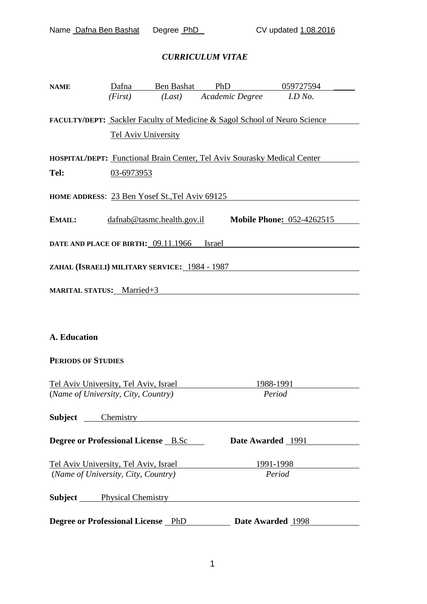### *CURRICULUM VITAE*

| <b>NAME</b>                           | Dafna      | Ben Bashat                                     | PhD                                                                       | 059727594                        |  |
|---------------------------------------|------------|------------------------------------------------|---------------------------------------------------------------------------|----------------------------------|--|
|                                       | (First)    | (Last)                                         | Academic Degree                                                           | I.D No.                          |  |
|                                       |            | <b>Tel Aviv University</b>                     | FACULTY/DEPT: Sackler Faculty of Medicine & Sagol School of Neuro Science |                                  |  |
|                                       |            |                                                | HOSPITAL/DEPT: Functional Brain Center, Tel Aviv Sourasky Medical Center  |                                  |  |
| Tel:                                  | 03-6973953 |                                                |                                                                           |                                  |  |
|                                       |            | HOME ADDRESS: 23 Ben Yosef St., Tel Aviv 69125 |                                                                           |                                  |  |
| EMAIL:                                |            | $d$ afnab@tasmc.health.gov.il                  |                                                                           | <b>Mobile Phone: 052-4262515</b> |  |
|                                       |            | DATE AND PLACE OF BIRTH: 09.11.1966 Israel     |                                                                           |                                  |  |
|                                       |            | ZAHAL (ISRAELI) MILITARY SERVICE: 1984 - 1987  |                                                                           |                                  |  |
| <b>MARITAL STATUS:</b> Married+3      |            |                                                |                                                                           |                                  |  |
|                                       |            |                                                |                                                                           |                                  |  |
| <b>A. Education</b>                   |            |                                                |                                                                           |                                  |  |
| <b>PERIODS OF STUDIES</b>             |            |                                                |                                                                           |                                  |  |
| Tel Aviv University, Tel Aviv, Israel |            |                                                |                                                                           | 1988-1991                        |  |
| (Name of University, City, Country)   |            |                                                |                                                                           | Period                           |  |
|                                       |            | <b>Subject</b> Chemistry                       |                                                                           |                                  |  |
|                                       |            | Degree or Professional License B.Sc            |                                                                           | Date Awarded 1991                |  |
|                                       |            |                                                | Tel Aviv University, Tel Aviv, Israel                                     | 1991-1998                        |  |

**Subject** Physical Chemistry **Physical Chemistry** 

(*Name of University, City, Country) Period*

**Degree or Professional License** PhD **Date Awarded** 1998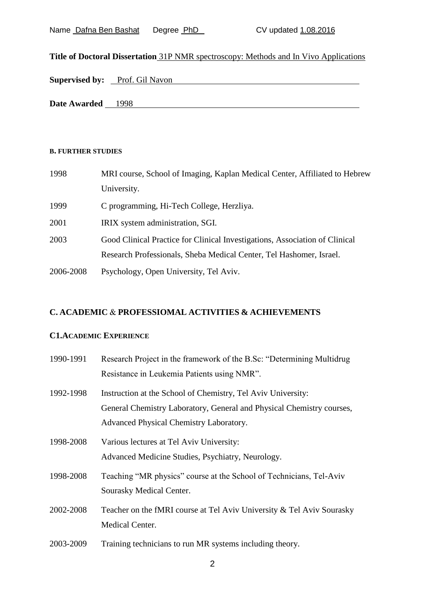| Name Dafna Ben Bashat | Degree PhD |
|-----------------------|------------|
|-----------------------|------------|

# **Title of Doctoral Dissertation** 31P NMR spectroscopy: Methods and In Vivo Applications

**Date Awarded** 1998

#### **B. FURTHER STUDIES**

| 1998      | MRI course, School of Imaging, Kaplan Medical Center, Affiliated to Hebrew  |  |  |
|-----------|-----------------------------------------------------------------------------|--|--|
|           | University.                                                                 |  |  |
| 1999      | C programming, Hi-Tech College, Herzliya.                                   |  |  |
| 2001      | IRIX system administration, SGI.                                            |  |  |
| 2003      | Good Clinical Practice for Clinical Investigations, Association of Clinical |  |  |
|           | Research Professionals, Sheba Medical Center, Tel Hashomer, Israel.         |  |  |
| 2006-2008 | Psychology, Open University, Tel Aviv.                                      |  |  |

# **C. ACADEMIC** & **PROFESSIOMAL ACTIVITIES & ACHIEVEMENTS**

## **C1.ACADEMIC EXPERIENCE**

| 1990-1991 | Research Project in the framework of the B.Sc: "Determining Multidrug |
|-----------|-----------------------------------------------------------------------|
|           | Resistance in Leukemia Patients using NMR".                           |
| 1992-1998 | Instruction at the School of Chemistry, Tel Aviv University:          |
|           | General Chemistry Laboratory, General and Physical Chemistry courses, |
|           | Advanced Physical Chemistry Laboratory.                               |
| 1998-2008 | Various lectures at Tel Aviv University:                              |
|           | Advanced Medicine Studies, Psychiatry, Neurology.                     |
| 1998-2008 | Teaching "MR physics" course at the School of Technicians, Tel-Aviv   |
|           | Sourasky Medical Center.                                              |
| 2002-2008 | Teacher on the fMRI course at Tel Aviv University & Tel Aviv Sourasky |
|           | Medical Center.                                                       |
| 2003-2009 | Training technicians to run MR systems including theory.              |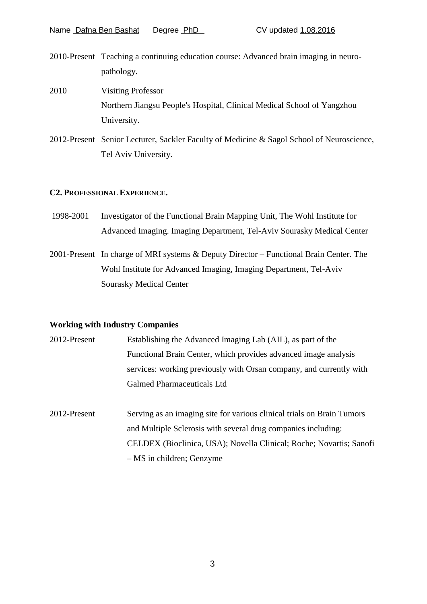- 2010-Present Teaching a continuing education course: Advanced brain imaging in neuropathology.
- 2010 Visiting Professor Northern Jiangsu People's Hospital, Clinical Medical School of Yangzhou University.
- 2012-Present Senior Lecturer, Sackler Faculty of Medicine & Sagol School of Neuroscience, Tel Aviv University.

#### **C2. PROFESSIONAL EXPERIENCE.**

- 1998-2001 Investigator of the Functional Brain Mapping Unit, The Wohl Institute for Advanced Imaging. Imaging Department, Tel-Aviv Sourasky Medical Center
- 2001-Present In charge of MRI systems & Deputy Director Functional Brain Center. The Wohl Institute for Advanced Imaging, Imaging Department, Tel-Aviv Sourasky Medical Center

#### **Working with Industry Companies**

| 2012-Present | Establishing the Advanced Imaging Lab (AIL), as part of the         |  |  |
|--------------|---------------------------------------------------------------------|--|--|
|              | Functional Brain Center, which provides advanced image analysis     |  |  |
|              | services: working previously with Orsan company, and currently with |  |  |
|              | Galmed Pharmaceuticals Ltd                                          |  |  |

2012-Present Serving as an imaging site for various clinical trials on Brain Tumors and Multiple Sclerosis with several drug companies including: CELDEX (Bioclinica, USA); Novella Clinical; Roche; Novartis; Sanofi – MS in children; Genzyme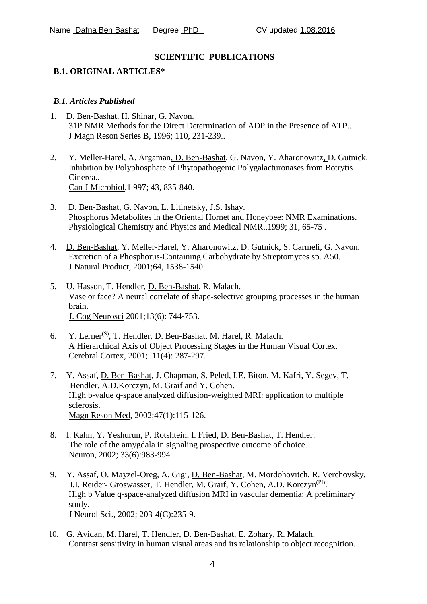### **SCIENTIFIC PUBLICATIONS**

#### **B.1. ORIGINAL ARTICLES\***

#### *B.1. Articles Published*

- 1. D. Ben-Bashat, H. Shinar, G. Navon. 31P NMR Methods for the Direct Determination of ADP in the Presence of ATP.. J Magn Reson Series B, 1996; 110, 231-239..
- 2. Y. Meller-Harel, A. Argaman, D. Ben-Bashat, G. Navon, Y. Aharonowitz, D. Gutnick. Inhibition by Polyphosphate of Phytopathogenic Polygalacturonases from Botrytis Cinerea.. Can J Microbiol,1 997; 43, 835-840.
- 3. D. Ben-Bashat, G. Navon, L. Litinetsky, J.S. Ishay. Phosphorus Metabolites in the Oriental Hornet and Honeybee: NMR Examinations. Physiological Chemistry and Physics and Medical NMR.,1999; 31, 65-75 .
- 4. D. Ben-Bashat, Y. Meller-Harel, Y. Aharonowitz, D. Gutnick, S. Carmeli, G. Navon. Excretion of a Phosphorus-Containing Carbohydrate by Streptomyces sp. A50. J Natural Product, 2001;64, 1538-1540.
- 5. U. Hasson, T. Hendler, D. Ben-Bashat, R. Malach. Vase or face? A neural correlate of shape-selective grouping processes in the human brain. J. Cog Neurosci 2001;13(6): 744-753.
- 6. Y. Lerner(S), T. Hendler, D. Ben-Bashat, M. Harel, R. Malach. A Hierarchical Axis of Object Processing Stages in the Human Visual Cortex. Cerebral Cortex, 2001; 11(4): 287-297.
- 7. Y. Assaf, D. Ben-Bashat, J. Chapman, S. Peled, I.E. Biton, M. Kafri, Y. Segev, T. Hendler, A.D.Korczyn, M. Graif and Y. Cohen. High b-value q-space analyzed diffusion-weighted MRI: application to multiple sclerosis. Magn Reson Med, 2002;47(1):115-126.
- 8. I. Kahn, Y. Yeshurun, P. Rotshtein, I. Fried, D. Ben-Bashat, T. Hendler. The role of the amygdala in signaling prospective outcome of choice. Neuron, 2002; 33(6):983-994.
- 9. Y. Assaf, O. Mayzel-Oreg, A. Gigi, D. Ben-Bashat, M. Mordohovitch, R. Verchovsky, I.I. Reider- Groswasser, T. Hendler, M. Graif, Y. Cohen, A.D. Korczyn<sup>(PI)</sup>. High b Value q-space-analyzed diffusion MRI in vascular dementia: A preliminary study. J Neurol Sci., 2002; 203-4(C):235-9.
- 10. G. Avidan, M. Harel, T. Hendler, D. Ben-Bashat, E. Zohary, R. Malach. Contrast sensitivity in human visual areas and its relationship to object recognition.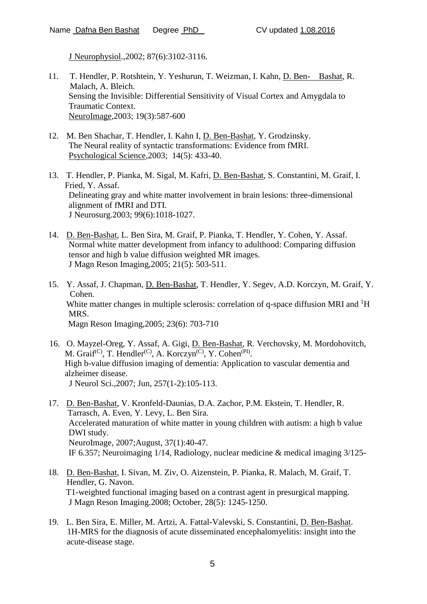J Neurophysiol.,2002; 87(6):3102-3116.

- 11. T. Hendler, P. Rotshtein, Y. Yeshurun, T. Weizman, I. Kahn, D. Ben- Bashat, R. Malach, A. Bleich. Sensing the Invisible: Differential Sensitivity of Visual Cortex and Amygdala to Traumatic Context. NeuroImage,2003; 19(3):587-600
- 12. M. Ben Shachar, T. Hendler, I. Kahn I, D. Ben-Bashat, Y. Grodzinsky. The Neural reality of syntactic transformations: Evidence from fMRI. Psychological Science,2003; 14(5): 433-40.
- 13. T. Hendler, P. Pianka, M. Sigal, M. Kafri, D. Ben-Bashat, S. Constantini, M. Graif, I. Fried, Y. Assaf. Delineating gray and white matter involvement in brain lesions: three-dimensional alignment of fMRI and DTI. J Neurosurg.2003; 99(6):1018-1027.
- 14. D. Ben-Bashat, L. Ben Sira, M. Graif, P. Pianka, T. Hendler, Y. Cohen, Y. Assaf. Normal white matter development from infancy to adulthood: Comparing diffusion tensor and high b value diffusion weighted MR images. J Magn Reson Imaging,2005; 21(5): 503-511.
- 15. Y. Assaf, J. Chapman, D. Ben-Bashat, T. Hendler, Y. Segev, A.D. Korczyn, M. Graif, Y. Cohen. White matter changes in multiple sclerosis: correlation of q-space diffusion MRI and  ${}^{1}H$ MRS. Magn Reson Imaging,2005; 23(6): 703-710
- 16. O. [Mayzel-Oreg,](http://www.ncbi.nlm.nih.gov/sites/entrez?Db=pubmed&Cmd=Search&Term=%22Mayzel-Oreg%20O%22%5BAuthor%5D&itool=EntrezSystem2.PEntrez.Pubmed.Pubmed_ResultsPanel.Pubmed_RVAbstractPlus) Y. [Assaf,](http://www.ncbi.nlm.nih.gov/sites/entrez?Db=pubmed&Cmd=Search&Term=%22Assaf%20Y%22%5BAuthor%5D&itool=EntrezSystem2.PEntrez.Pubmed.Pubmed_ResultsPanel.Pubmed_RVAbstractPlus) A. [Gigi,](http://www.ncbi.nlm.nih.gov/sites/entrez?Db=pubmed&Cmd=Search&Term=%22Gigi%20A%22%5BAuthor%5D&itool=EntrezSystem2.PEntrez.Pubmed.Pubmed_ResultsPanel.Pubmed_RVAbstractPlus) D. [Ben-Bashat,](http://www.ncbi.nlm.nih.gov/sites/entrez?Db=pubmed&Cmd=Search&Term=%22Ben-Bashat%20D%22%5BAuthor%5D&itool=EntrezSystem2.PEntrez.Pubmed.Pubmed_ResultsPanel.Pubmed_RVAbstractPlus) R. [Verchovsky,](http://www.ncbi.nlm.nih.gov/sites/entrez?Db=pubmed&Cmd=Search&Term=%22Verchovsky%20R%22%5BAuthor%5D&itool=EntrezSystem2.PEntrez.Pubmed.Pubmed_ResultsPanel.Pubmed_RVAbstractPlus) M. [Mordohovitch,](http://www.ncbi.nlm.nih.gov/sites/entrez?Db=pubmed&Cmd=Search&Term=%22Mordohovitch%20M%22%5BAuthor%5D&itool=EntrezSystem2.PEntrez.Pubmed.Pubmed_ResultsPanel.Pubmed_RVAbstractPlus) M. [Graif](http://www.ncbi.nlm.nih.gov/sites/entrez?Db=pubmed&Cmd=Search&Term=%22Graif%20M%22%5BAuthor%5D&itool=EntrezSystem2.PEntrez.Pubmed.Pubmed_ResultsPanel.Pubmed_RVAbstractPlus)<sup>(C)</sup>, T. [Hendler](http://www.ncbi.nlm.nih.gov/sites/entrez?Db=pubmed&Cmd=Search&Term=%22Hendler%20T%22%5BAuthor%5D&itool=EntrezSystem2.PEntrez.Pubmed.Pubmed_ResultsPanel.Pubmed_RVAbstractPlus)<sup>(C)</sup>, A. [Korczyn](http://www.ncbi.nlm.nih.gov/sites/entrez?Db=pubmed&Cmd=Search&Term=%22Korczyn%20A%22%5BAuthor%5D&itool=EntrezSystem2.PEntrez.Pubmed.Pubmed_ResultsPanel.Pubmed_RVAbstractPlus)<sup>(C)</sup>, Y. [Cohen](http://www.ncbi.nlm.nih.gov/sites/entrez?Db=pubmed&Cmd=Search&Term=%22Cohen%20Y%22%5BAuthor%5D&itool=EntrezSystem2.PEntrez.Pubmed.Pubmed_ResultsPanel.Pubmed_RVAbstractPlus)<sup>(PI)</sup>. High b-value diffusion imaging of dementia: Application to vascular dementia and alzheimer disease. J Neurol Sci.,2007; Jun, 257(1-2):105-113.
- 17. D. Ben-Bashat, V. Kronfeld-Daunias, D.A. Zachor, P.M. Ekstein, T. Hendler, R. Tarrasch, A. Even, Y. Levy, L. Ben Sira. Accelerated maturation of white matter in young children with autism: a high b value DWI study. NeuroImage, 2007;August, 37(1):40-47. IF 6.357; Neuroimaging 1/14, Radiology, nuclear medicine & medical imaging 3/125-
- 18. D. Ben-Bashat, I. Sivan, M. Ziv, O. Aizenstein, P. Pianka, R. Malach, M. Graif, T. Hendler, G. Navon. T1-weighted functional imaging based on a contrast agent in presurgical mapping. J Magn Reson Imaging.2008; October, 28(5): 1245-1250.
- 19. L. Ben Sira, E. Miller, M. Artzi, A. Fattal-Valevski, S. Constantini, D. Ben-Bashat. 1H-MRS for the diagnosis of acute disseminated encephalomyelitis: insight into the acute-disease stage.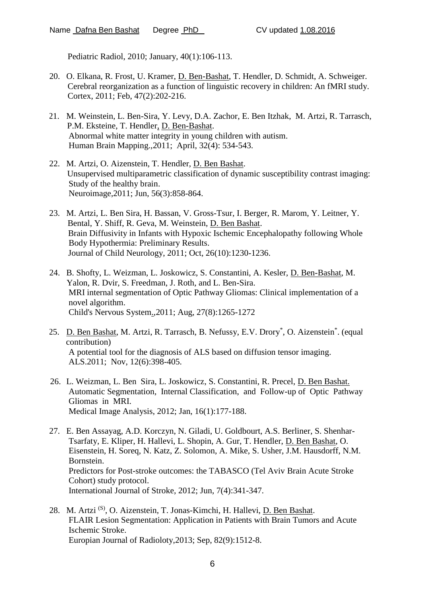Pediatric Radiol, 2010; January, 40(1):106-113.

- 20. O. Elkana, R. Frost, U. Kramer, D. Ben-Bashat, T. Hendler, D. Schmidt, A. Schweiger. Cerebral reorganization as a function of linguistic recovery in children: An fMRI study. Cortex, 2011; Feb, 47(2):202-216.
- 21. M. Weinstein, L. Ben-Sira, Y. Levy, D.A. Zachor, E. Ben Itzhak, M. Artzi, R. Tarrasch, P.M. Eksteine, T. Hendler, D. Ben-Bashat. Abnormal white matter integrity in young children with autism. Human Brain Mapping.,2011; April, 32(4): 534-543.
- 22. M. Artzi, O. Aizenstein, T. Hendler, D. Ben Bashat. Unsupervised multiparametric classification of dynamic susceptibility contrast imaging: Study of the healthy brain. Neuroimage,2011; Jun, 56(3):858-864.
- 23. M. Artzi, L. Ben Sira, H. Bassan, V. Gross-Tsur, I. Berger, R. Marom, Y. Leitner, Y. Bental, Y. Shiff, R. Geva, M. Weinstein, D. Ben Bashat. Brain Diffusivity in Infants with Hypoxic Ischemic Encephalopathy following Whole Body Hypothermia: Preliminary Results. Journal of Child Neurology, 2011; Oct, 26(10):1230-1236.
- 24. B. Shofty, L. Weizman, L. Joskowicz, S. Constantini, A. Kesler, D. Ben-Bashat, M. Yalon, R. Dvir, S. Freedman, J. Roth, and L. Ben-Sira. MRI internal segmentation of Optic Pathway Gliomas: Clinical implementation of a novel algorithm. Child's Nervous System.,2011; Aug, 27(8):1265-1272
- 25. D. Ben Bashat, M. Artzi, R. Tarrasch, B. Nefussy, E.V. Drory\*, O. Aizenstein\*. (equal contribution) A potential tool for the diagnosis of ALS based on diffusion tensor imaging. ALS.2011; Nov, 12(6):398-405.
- 26. L. Weizman, L. Ben Sira, L. Joskowicz, S. Constantini, R. Precel, D. Ben Bashat. Automatic Segmentation, Internal Classification, and Follow-up of Optic Pathway Gliomas in MRI. Medical Image Analysis, 2012; Jan, 16(1):177-188.
- 27. E. Ben Assayag, A.D. Korczyn, N. Giladi, U. Goldbourt, A.S. Berliner, S. Shenhar-Tsarfaty, E. Kliper, H. Hallevi, L. Shopin, A. Gur, T. Hendler, D. Ben Bashat, O. Eisenstein, H. Soreq, N. Katz, Z. Solomon, A. Mike, S. Usher, J.M. Hausdorff, N.M. Bornstein. Predictors for Post-stroke outcomes: the TABASCO (Tel Aviv Brain Acute Stroke Cohort) study protocol. International Journal of Stroke, 2012; Jun, 7(4):341-347.
- 28. M. Artzi<sup>(S)</sup>, O. Aizenstein, T. Jonas-Kimchi, H. Hallevi, D. Ben Bashat. FLAIR Lesion Segmentation: Application in Patients with Brain Tumors and Acute Ischemic Stroke. Europian Journal of Radioloty,2013; Sep, 82(9):1512-8.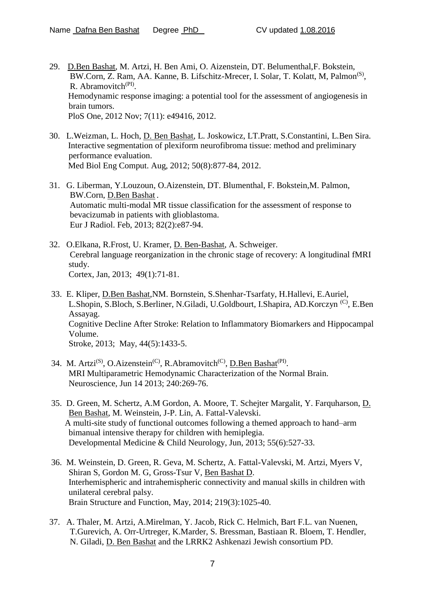- 29. D.Ben Bashat, M. Artzi, H. Ben Ami, O. Aizenstein, DT. Belumenthal,F. Bokstein, BW.Corn, Z. Ram, AA. Kanne, B. Lifschitz-Mrecer, I. Solar, T. Kolatt, M, Palmon<sup>(S)</sup>, R. Abramovitch<sup>(PI)</sup>. Hemodynamic response imaging: a potential tool for the assessment of angiogenesis in brain tumors. PloS One, 2012 Nov; 7(11): e49416, 2012.
- 30. L.Weizman, L. Hoch, D. Ben Bashat, L. Joskowicz, LT.Pratt, S.Constantini, L.Ben Sira. Interactive segmentation of plexiform neurofibroma tissue: method and preliminary performance evaluation. Med Biol Eng Comput. Aug, 2012; 50(8):877-84, 2012.
- 31. G. Liberman, Y.Louzoun, O.Aizenstein, DT. Blumenthal, F. Bokstein,M. Palmon, BW.Corn, D.Ben Bashat . Automatic multi-modal MR tissue classification for the assessment of response to bevacizumab in patients with glioblastoma. Eur J Radiol. Feb, 2013; 82(2):e87-94.
- 32. O.Elkana, R.Frost, U. Kramer, D. Ben-Bashat, A. Schweiger. Cerebral language reorganization in the chronic stage of recovery: A longitudinal fMRI study. Cortex, Jan, 2013; 49(1):71-81.
- 33. E. Kliper, D.Ben Bashat,NM. Bornstein, S.Shenhar-Tsarfaty, H.Hallevi, E.Auriel, L.Shopin, S.Bloch, S.Berliner, N.Giladi, U.Goldbourt, I.Shapira, AD.Korczyn<sup>(C)</sup>, E.Ben Assayag. Cognitive Decline After Stroke: Relation to Inflammatory Biomarkers and Hippocampal Volume. Stroke, 2013; May, 44(5):1433-5.
- 34. M. Artzi<sup>(S)</sup>, O.Aizenstein<sup>(C)</sup>, R.Abramovitch<sup>(C)</sup>, D.Ben Bashat<sup>(PI)</sup>. MRI Multiparametric Hemodynamic Characterization of the Normal Brain. Neuroscience, Jun 14 2013; 240:269-76.
- 35. D. Green, M. Schertz, A.M Gordon, A. Moore, T. Schejter Margalit, Y. Farquharson, D. Ben Bashat, M. Weinstein, J-P. Lin, A. Fattal-Valevski. A multi-site study of functional outcomes following a themed approach to hand–arm bimanual intensive therapy for children with hemiplegia. Developmental Medicine & Child Neurology, Jun, 2013; 55(6):527-33.
- 36. M. Weinstein, D. Green, R. Geva, M. Schertz, A. Fattal-Valevski, M. Artzi, Myers V, Shiran S, Gordon M. G, Gross-Tsur V, Ben Bashat D. Interhemispheric and intrahemispheric connectivity and manual skills in children with unilateral cerebral palsy. Brain Structure and Function, May, 2014; 219(3):1025-40.
- 37. A. Thaler, M. Artzi, A.Mirelman, Y. Jacob, Rick C. Helmich, Bart F.L. van Nuenen, T.Gurevich, A. Orr-Urtreger, K.Marder, S. Bressman, Bastiaan R. Bloem, T. Hendler, N. Giladi, D. Ben Bashat and the LRRK2 Ashkenazi Jewish consortium PD.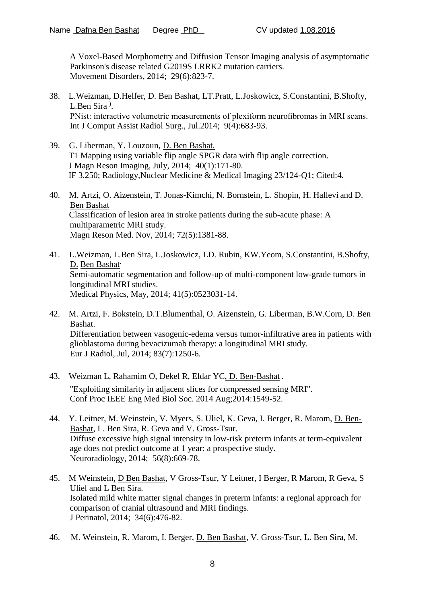A Voxel-Based Morphometry and Diffusion Tensor Imaging analysis of asymptomatic Parkinson's disease related G2019S LRRK2 mutation carriers. Movement Disorders, 2014; 29(6):823-7.

- 38. L.Weizman, D.Helfer, D. Ben Bashat, LT.Pratt, L.Joskowicz, S.Constantini, B.Shofty, L.Ben Sira<sup>)</sup>. PNist: interactive volumetric measurements of plexiform neurofibromas in MRI scans. Int J Comput Assist Radiol Surg., Jul.2014; 9(4):683-93.
- 39. G. Liberman, Y. Louzoun, D. Ben Bashat. T1 Mapping using variable flip angle SPGR data with flip angle correction. J Magn Reson Imaging, July, 2014; 40(1):171-80. IF 3.250; Radiology,Nuclear Medicine & Medical Imaging 23/124-Q1; Cited:4.
- 40. M. Artzi, O. Aizenstein, T. Jonas-Kimchi, N. Bornstein, L. Shopin, H. Hallevi and D. Ben Bashat Classification of lesion area in stroke patients during the sub-acute phase: A multiparametric MRI study. Magn Reson Med. Nov, 2014; 72(5):1381-88.
- 41. L.Weizman, L.Ben Sira, L.Joskowicz, LD. Rubin, KW.Yeom, S.Constantini, B.Shofty, D. Ben Bashat. Semi-automatic segmentation and follow-up of multi-component low-grade tumors in longitudinal MRI studies. Medical Physics, May, 2014; 41(5):0523031-14.
- 42. M. Artzi, F. Bokstein, D.T.Blumenthal, O. Aizenstein, G. Liberman, B.W.Corn, D. Ben Bashat. Differentiation between vasogenic-edema versus tumor-infiltrative area in patients with glioblastoma during bevacizumab therapy: a longitudinal MRI study. Eur J Radiol, Jul, 2014; 83(7):1250-6.
- 43. Weizman L, Rahamim O, Dekel R, Eldar YC, D. Ben-Bashat . "Exploiting similarity in adjacent slices for compressed sensing MRI". Conf Proc IEEE Eng Med Biol Soc. 2014 Aug;2014:1549-52.
- 44. Y. Leitner, M. Weinstein, V. Myers, S. Uliel, K. Geva, I. Berger, R. Marom, D. Ben-Bashat, L. Ben Sira, R. Geva and V. Gross-Tsur. Diffuse excessive high signal intensity in low-risk preterm infants at term-equivalent age does not predict outcome at 1 year: a prospective study. Neuroradiology, 2014; 56(8):669-78.
- 45. M Weinstein, D Ben Bashat, V Gross-Tsur, Y Leitner, I Berger, R Marom, R Geva, S Uliel and L Ben Sira. Isolated mild white matter signal changes in preterm infants: a regional approach for comparison of cranial ultrasound and MRI findings. J Perinatol, 2014; 34(6):476-82.
- 46. M. Weinstein, R. Marom, I. Berger, D. Ben Bashat, V. Gross-Tsur, L. Ben Sira, M.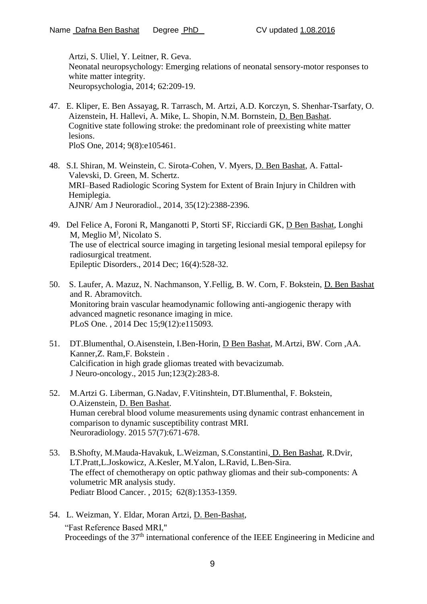Artzi, S. Uliel, Y. Leitner, R. Geva. Neonatal neuropsychology: Emerging relations of neonatal sensory-motor responses to white matter integrity. Neuropsychologia, 2014; 62:209-19.

- 47. E. Kliper, E. Ben Assayag, R. Tarrasch, M. Artzi, A.D. Korczyn, S. Shenhar-Tsarfaty, O. Aizenstein, H. Hallevi, A. Mike, L. Shopin, N.M. Bornstein, D. Ben Bashat. Cognitive state following stroke: the predominant role of preexisting white matter lesions. PloS One, 2014; 9(8):e105461.
- 48. S.I. Shiran, M. Weinstein, C. Sirota-Cohen, V. Myers, D. Ben Bashat, A. Fattal-Valevski, D. Green, M. Schertz. MRI–Based Radiologic Scoring System for Extent of Brain Injury in Children with Hemiplegia. AJNR/ Am J Neuroradiol., 2014, 35(12):2388-2396.
- 49. Del Felice A, Foroni R, Manganotti P, Storti SF, Ricciardi GK, D Ben Bashat, Longhi M, Meglio M<sup>)</sup>, Nicolato S. The use of electrical source imaging in targeting lesional mesial temporal epilepsy for radiosurgical treatment. Epileptic Disorders., 2014 Dec; 16(4):528-32.
- 50. S. Laufer, A. Mazuz, N. Nachmanson, Y.Fellig, B. W. Corn, F. Bokstein, D. Ben Bashat and R. Abramovitch. Monitoring brain vascular heamodynamic following anti-angiogenic therapy with advanced magnetic resonance imaging in mice. PLoS One. , 2014 Dec 15;9(12):e115093.
- 51. DT.Blumenthal, O.Aisenstein, I.Ben-Horin, D Ben Bashat, M.Artzi, BW. Corn ,AA. Kanner,Z. Ram,F. Bokstein . Calcification in high grade gliomas treated with bevacizumab. J Neuro-oncology., 2015 Jun;123(2):283-8.
- 52. M.Artzi G. Liberman, G.Nadav, F.Vitinshtein, DT.Blumenthal, F. Bokstein, O.Aizenstein, D. Ben Bashat. Human cerebral blood volume measurements using dynamic contrast enhancement in comparison to dynamic susceptibility contrast MRI. Neuroradiology. 2015 57(7):671-678.
- 53. B.Shofty, M.Mauda-Havakuk, L.Weizman, S.Constantini, D. Ben Bashat, R.Dvir, LT.Pratt,L.Joskowicz, A.Kesler, M.Yalon, L.Ravid, L.Ben-Sira. The effect of chemotherapy on optic pathway gliomas and their sub-components: A volumetric MR analysis study. Pediatr Blood Cancer. , 2015; 62(8):1353-1359.
- 54. L. Weizman, Y. Eldar, Moran Artzi, D. Ben-Bashat, "Fast Reference Based MRI," Proceedings of the 37<sup>th</sup> international conference of the IEEE Engineering in Medicine and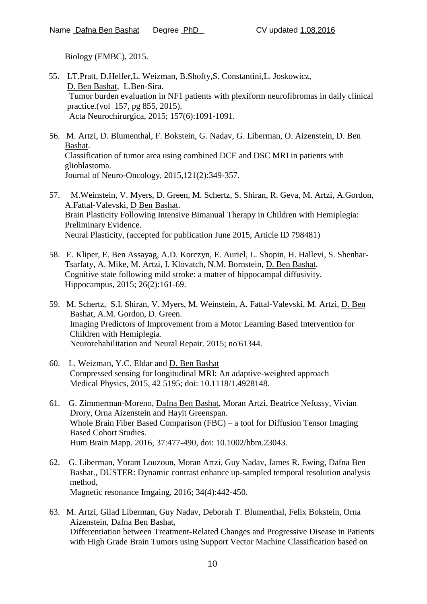Biology (EMBC), 2015.

- 55. LT.Pratt, D.Helfer,L. Weizman, B.Shofty,S. Constantini,L. Joskowicz, D. Ben Bashat, L.Ben-Sira. Tumor burden evaluation in NF1 patients with plexiform neurofibromas in daily clinical practice.(vol 157, pg 855, 2015). Acta Neurochirurgica, 2015; 157(6):1091-1091.
- 56. M. Artzi, D. Blumenthal, F. Bokstein, G. Nadav, G. Liberman, O. Aizenstein, D. Ben Bashat. Classification of tumor area using combined DCE and DSC MRI in patients with glioblastoma. Journal of Neuro-Oncology, 2015,121(2):349-357.
- 57. M.Weinstein, V. Myers, D. Green, M. Schertz, S. Shiran, R. Geva, M. Artzi, A.Gordon, A.Fattal-Valevski, D Ben Bashat. Brain Plasticity Following Intensive Bimanual Therapy in Children with Hemiplegia: Preliminary Evidence. Neural Plasticity, (accepted for publication June 2015, Article ID 798481)
- 58. E. Kliper, E. Ben Assayag, A.D. Korczyn, E. Auriel, L. Shopin, H. Hallevi, S. Shenhar-Tsarfaty, A. Mike, M. Artzi, I. Klovatch, N.M. Bornstein, D. Ben Bashat. Cognitive state following mild stroke: a matter of hippocampal diffusivity. Hippocampus, 2015; 26(2):161-69.
- 59. M. Schertz, S.I. Shiran, V. Myers, M. Weinstein, A. Fattal-Valevski, M. Artzi, D. Ben Bashat, A.M. Gordon, D. Green. Imaging Predictors of Improvement from a Motor Learning Based Intervention for Children with Hemiplegia. Neurorehabilitation and Neural Repair. 2015; no'61344.
- 60. L. Weizman, Y.C. Eldar and D. Ben Bashat Compressed sensing for longitudinal MRI: An adaptive-weighted approach Medical Physics, 2015, 42 5195; doi: 10.1118/1.4928148.
- 61. G. Zimmerman-Moreno, Dafna Ben Bashat, Moran Artzi, Beatrice Nefussy, Vivian Drory, Orna Aizenstein and Hayit Greenspan. Whole Brain Fiber Based Comparison (FBC) – a tool for Diffusion Tensor Imaging Based Cohort Studies. Hum Brain Mapp. 2016, 37:477-490, doi: 10.1002/hbm.23043.
- 62. G. Liberman, Yoram Louzoun, Moran Artzi, Guy Nadav, James R. Ewing, Dafna Ben Bashat., DUSTER: Dynamic contrast enhance up-sampled temporal resolution analysis method, Magnetic resonance Imgaing, 2016; 34(4):442-450.
- 63. M. Artzi, Gilad Liberman, Guy Nadav, Deborah T. Blumenthal, Felix Bokstein, Orna Aizenstein, Dafna Ben Bashat, Differentiation between Treatment-Related Changes and Progressive Disease in Patients with High Grade Brain Tumors using Support Vector Machine Classification based on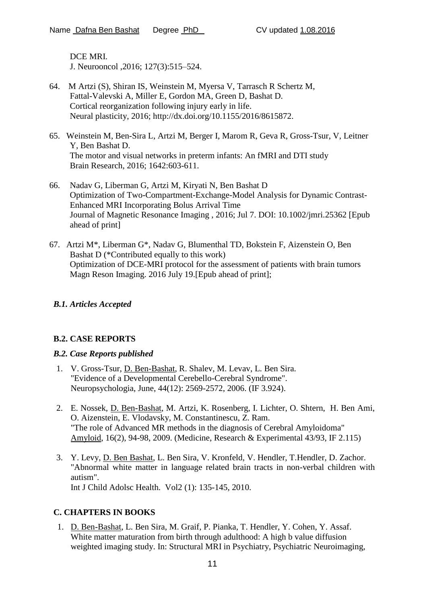DCE MRI. J. Neurooncol ,2016; 127(3):515–524.

- 64. M Artzi (S), Shiran IS, Weinstein M, Myersa V, Tarrasch R Schertz M, Fattal-Valevski A, Miller E, Gordon MA, Green D, Bashat D. Cortical reorganization following injury early in life. Neural plasticity, 2016; http://dx.doi.org/10.1155/2016/8615872.
- 65. Weinstein M, Ben-Sira L, Artzi M, Berger I, Marom R, Geva R, Gross-Tsur, V, Leitner Y, Ben Bashat D. The motor and visual networks in preterm infants: An fMRI and DTI study Brain Research, 2016; 1642:603-611.
- 66. Nadav G, Liberman G, Artzi M, Kiryati N, Ben Bashat D Optimization of Two-Compartment-Exchange-Model Analysis for Dynamic Contrast-Enhanced MRI Incorporating Bolus Arrival Time Journal of Magnetic Resonance Imaging , 2016; Jul 7. DOI: 10.1002/jmri.25362 [Epub ahead of print]
- 67. Artzi M\*, Liberman G\*, Nadav G, Blumenthal TD, Bokstein F, Aizenstein O, Ben Bashat D (\*Contributed equally to this work) Optimization of DCE-MRI protocol for the assessment of patients with brain tumors Magn Reson Imaging. 2016 July 19.[Epub ahead of print];

## *B.1. Articles Accepted*

## **B.2. CASE REPORTS**

### *B.2. Case Reports published*

- 1. V. Gross-Tsur, D. Ben-Bashat, R. Shalev, M. Levav, L. Ben Sira. "Evidence of a Developmental Cerebello-Cerebral Syndrome". Neuropsychologia, June, 44(12): 2569-2572, 2006. (IF 3.924).
- 2. E. Nossek, D. Ben-Bashat, M. Artzi, K. Rosenberg, I. Lichter, O. Shtern, H. Ben Ami, O. Aizenstein, E. Vlodavsky, M. Constantinescu, Z. Ram. "The role of Advanced MR methods in the diagnosis of Cerebral Amyloidoma" Amyloid, 16(2), 94-98, 2009. (Medicine, Research & Experimental 43/93, IF 2.115)
- 3. Y. Levy, D. Ben Bashat, L. Ben Sira, V. Kronfeld, V. Hendler, T.Hendler, D. Zachor. "Abnormal white matter in language related brain tracts in non-verbal children with autism". Int J Child Adolsc Health. Vol2 (1): 135-145, 2010.

## **C. CHAPTERS IN BOOKS**

1. D. Ben-Bashat, L. Ben Sira, M. Graif, P. Pianka, T. Hendler, Y. Cohen, Y. Assaf. White matter maturation from birth through adulthood: A high b value diffusion weighted imaging study. In: Structural MRI in Psychiatry, Psychiatric Neuroimaging,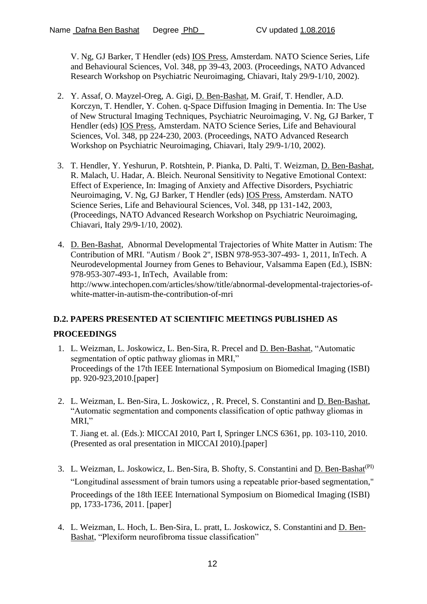V. Ng, GJ Barker, T Hendler (eds) IOS Press, Amsterdam. NATO Science Series, Life and Behavioural Sciences, Vol. 348, pp 39-43, 2003. (Proceedings, NATO Advanced Research Workshop on Psychiatric Neuroimaging, Chiavari, Italy 29/9-1/10, 2002).

- 2. Y. Assaf, O. Mayzel-Oreg, A. Gigi, D. Ben-Bashat, M. Graif, T. Hendler, A.D. Korczyn, T. Hendler, Y. Cohen. q-Space Diffusion Imaging in Dementia. In: The Use of New Structural Imaging Techniques, Psychiatric Neuroimaging, V. Ng, GJ Barker, T Hendler (eds) IOS Press, Amsterdam. NATO Science Series, Life and Behavioural Sciences, Vol. 348, pp 224-230, 2003. (Proceedings, NATO Advanced Research Workshop on Psychiatric Neuroimaging, Chiavari, Italy 29/9-1/10, 2002).
- 3. T. Hendler, Y. Yeshurun, P. Rotshtein, P. Pianka, D. Palti, T. Weizman, D. Ben-Bashat, R. Malach, U. Hadar, A. Bleich. Neuronal Sensitivity to Negative Emotional Context: Effect of Experience, In: Imaging of Anxiety and Affective Disorders, Psychiatric Neuroimaging, V. Ng, GJ Barker, T Hendler (eds) IOS Press, Amsterdam. NATO Science Series, Life and Behavioural Sciences, Vol. 348, pp 131-142, 2003, (Proceedings, NATO Advanced Research Workshop on Psychiatric Neuroimaging, Chiavari, Italy 29/9-1/10, 2002).
- 4. D. Ben-Bashat, Abnormal Developmental Trajectories of White Matter in Autism: The Contribution of MRI. "Autism / Book 2", ISBN 978-953-307-493- 1, 2011, InTech. A Neurodevelopmental Journey from Genes to Behaviour, Valsamma Eapen (Ed.), ISBN: 978-953-307-493-1, InTech, Available from: http://www.intechopen.com/articles/show/title/abnormal-developmental-trajectories-ofwhite-matter-in-autism-the-contribution-of-mri

# **D.2. PAPERS PRESENTED AT SCIENTIFIC MEETINGS PUBLISHED AS**

## **PROCEEDINGS**

- 1. L. Weizman, L. Joskowicz, L. Ben-Sira, R. Precel and D. Ben-Bashat, "Automatic segmentation of optic pathway gliomas in MRI," Proceedings of the 17th IEEE International Symposium on Biomedical Imaging (ISBI) pp. 920-923,2010.[paper]
- 2. L. Weizman, L. Ben-Sira, L. Joskowicz, , R. Precel, S. Constantini and D. Ben-Bashat, "Automatic segmentation and components classification of optic pathway gliomas in MRI,"

T. Jiang et. al. (Eds.): MICCAI 2010, Part I, Springer LNCS 6361, pp. 103-110, 2010. (Presented as oral presentation in MICCAI 2010).[paper]

- 3. L. Weizman, L. Joskowicz, L. Ben-Sira, B. Shofty, S. Constantini and D. Ben-Bashat<sup>(PI)</sup> "Longitudinal assessment of brain tumors using a repeatable prior-based segmentation," Proceedings of the 18th IEEE International Symposium on Biomedical Imaging (ISBI) pp, 1733-1736, 2011. [paper]
- 4. L. Weizman, L. Hoch, L. Ben-Sira, L. pratt, L. Joskowicz, S. Constantini and D. Ben-Bashat, "Plexiform neurofibroma tissue classification"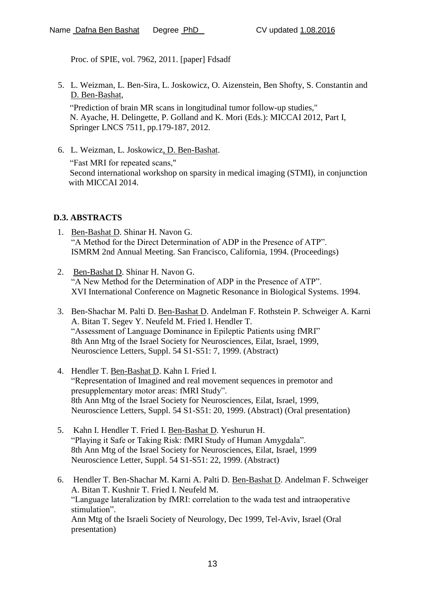Proc. of SPIE, vol. 7962, 2011. [paper] Fdsadf

5. L. Weizman, L. Ben-Sira, L. Joskowicz, O. Aizenstein, Ben Shofty, S. Constantin and D. Ben-Bashat,

"Prediction of brain MR scans in longitudinal tumor follow-up studies," N. Ayache, H. Delingette, P. Golland and K. Mori (Eds.): MICCAI 2012, Part I, Springer LNCS 7511, pp.179-187, 2012.

6. L. Weizman, L. Joskowicz, D. Ben-Bashat. "Fast MRI for repeated scans," Second international workshop on sparsity in medical imaging (STMI), in conjunction with MICCAI 2014.

#### **D.3. ABSTRACTS**

- 1. Ben-Bashat D. Shinar H. Navon G. "A Method for the Direct Determination of ADP in the Presence of ATP". ISMRM 2nd Annual Meeting. San Francisco, California, 1994. (Proceedings)
- 2. Ben-Bashat D. Shinar H. Navon G. "A New Method for the Determination of ADP in the Presence of ATP". XVI International Conference on Magnetic Resonance in Biological Systems. 1994.
- 3. Ben-Shachar M. Palti D. Ben-Bashat D. Andelman F. Rothstein P. Schweiger A. Karni A. Bitan T. Segev Y. Neufeld M. Fried I. Hendler T. "Assessment of Language Dominance in Epileptic Patients using fMRI" 8th Ann Mtg of the Israel Society for Neurosciences, Eilat, Israel, 1999, Neuroscience Letters, Suppl. 54 S1-S51: 7, 1999. (Abstract)
- 4. Hendler T. Ben-Bashat D. Kahn I. Fried I. "Representation of Imagined and real movement sequences in premotor and presupplementary motor areas: fMRI Study". 8th Ann Mtg of the Israel Society for Neurosciences, Eilat, Israel, 1999, Neuroscience Letters, Suppl. 54 S1-S51: 20, 1999. (Abstract) (Oral presentation)
- 5. Kahn I. Hendler T. Fried I. Ben-Bashat D. Yeshurun H. "Playing it Safe or Taking Risk: fMRI Study of Human Amygdala". 8th Ann Mtg of the Israel Society for Neurosciences, Eilat, Israel, 1999 Neuroscience Letter, Suppl. 54 S1-S51: 22, 1999. (Abstract)
- 6. Hendler T. Ben-Shachar M. Karni A. Palti D. Ben-Bashat D. Andelman F. Schweiger A. Bitan T. Kushnir T. Fried I. Neufeld M. "Language lateralization by fMRI: correlation to the wada test and intraoperative stimulation". Ann Mtg of the Israeli Society of Neurology, Dec 1999, Tel-Aviv, Israel (Oral presentation)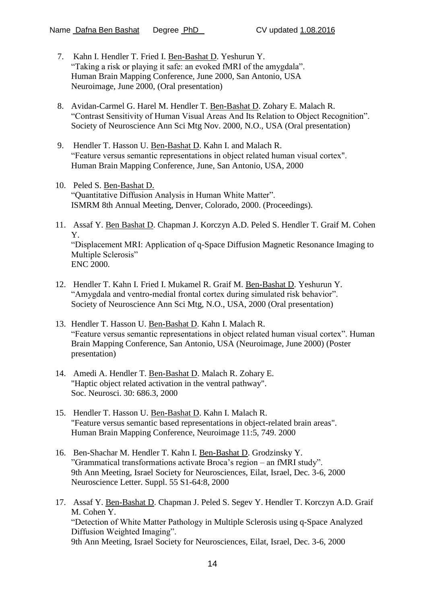- 7. Kahn I. Hendler T. Fried I. Ben-Bashat D. Yeshurun Y. "Taking a risk or playing it safe: an evoked fMRI of the amygdala". Human Brain Mapping Conference, June 2000, San Antonio, USA Neuroimage, June 2000, (Oral presentation)
- 8. Avidan-Carmel G. Harel M. Hendler T. Ben-Bashat D. Zohary E. Malach R. "Contrast Sensitivity of Human Visual Areas And Its Relation to Object Recognition". Society of Neuroscience Ann Sci Mtg Nov. 2000, N.O., USA (Oral presentation)
- 9. Hendler T. Hasson U. Ben-Bashat D. Kahn I. and Malach R. "Feature versus semantic representations in object related human visual cortex". Human Brain Mapping Conference, June, San Antonio, USA, 2000
- 10. Peled S. Ben-Bashat D. "Quantitative Diffusion Analysis in Human White Matter". ISMRM 8th Annual Meeting, Denver, Colorado, 2000. (Proceedings).
- 11. Assaf Y. Ben Bashat D. Chapman J. Korczyn A.D. Peled S. Hendler T. Graif M. Cohen Y. "Displacement MRI: Application of q-Space Diffusion Magnetic Resonance Imaging to Multiple Sclerosis" ENC 2000.
- 12. Hendler T. Kahn I. Fried I. Mukamel R. Graif M. Ben-Bashat D. Yeshurun Y. "Amygdala and ventro-medial frontal cortex during simulated risk behavior". Society of Neuroscience Ann Sci Mtg, N.O., USA, 2000 (Oral presentation)
- 13. Hendler T. Hasson U. Ben-Bashat D. Kahn I. Malach R. "Feature versus semantic representations in object related human visual cortex". Human Brain Mapping Conference, San Antonio, USA (Neuroimage, June 2000) (Poster presentation)
- 14. Amedi A. Hendler T. Ben-Bashat D. Malach R. Zohary E. "Haptic object related activation in the ventral pathway". Soc. Neurosci. 30: 686.3, 2000
- 15. Hendler T. Hasson U. Ben-Bashat D. Kahn I. Malach R. "Feature versus semantic based representations in object-related brain areas". Human Brain Mapping Conference, Neuroimage 11:5, 749. 2000
- 16. Ben-Shachar M. Hendler T. Kahn I. Ben-Bashat D. Grodzinsky Y. "Grammatical transformations activate Broca's region – an fMRI study". 9th Ann Meeting, Israel Society for Neurosciences, Eilat, Israel, Dec. 3-6, 2000 Neuroscience Letter. Suppl. 55 S1-64:8, 2000
- 17. Assaf Y. Ben-Bashat D. Chapman J. Peled S. Segev Y. Hendler T. Korczyn A.D. Graif M. Cohen Y. "Detection of White Matter Pathology in Multiple Sclerosis using q-Space Analyzed Diffusion Weighted Imaging". 9th Ann Meeting, Israel Society for Neurosciences, Eilat, Israel, Dec. 3-6, 2000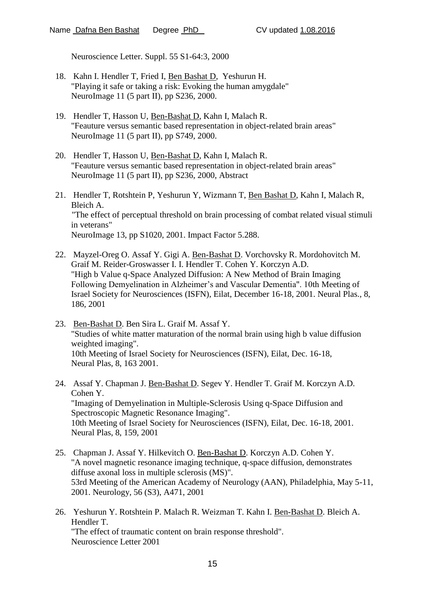Neuroscience Letter. Suppl. 55 S1-64:3, 2000

- 18. Kahn I. Hendler T, Fried I, Ben Bashat D, Yeshurun H. "Playing it safe or taking a risk: Evoking the human amygdale" NeuroImage 11 (5 part II), pp S236, 2000.
- 19. Hendler T, Hasson U, Ben-Bashat D, Kahn I, Malach R. "Feauture versus semantic based representation in object-related brain areas" NeuroImage 11 (5 part II), pp S749, 2000.
- 20. Hendler T, Hasson U, Ben-Bashat D, Kahn I, Malach R. "Feauture versus semantic based representation in object-related brain areas" NeuroImage 11 (5 part II), pp S236, 2000, Abstract
- 21. Hendler T, Rotshtein P, Yeshurun Y, Wizmann T, Ben Bashat D, Kahn I, Malach R, Bleich A. "The effect of perceptual threshold on brain processing of combat related visual stimuli in veterans" NeuroImage 13, pp S1020, 2001. Impact Factor 5.288.
- 22. Mayzel-Oreg O. Assaf Y. Gigi A. Ben-Bashat D. Vorchovsky R. Mordohovitch M. Graif M. Reider-Groswasser I. I. Hendler T. Cohen Y. Korczyn A.D. "High b Value q-Space Analyzed Diffusion: A New Method of Brain Imaging Following Demyelination in Alzheimer's and Vascular Dementia". 10th Meeting of Israel Society for Neurosciences (ISFN), Eilat, December 16-18, 2001. Neural Plas., 8, 186, 2001
- 23. Ben-Bashat D. Ben Sira L. Graif M. Assaf Y. "Studies of white matter maturation of the normal brain using high b value diffusion weighted imaging". 10th Meeting of Israel Society for Neurosciences (ISFN), Eilat, Dec. 16-18, Neural Plas, 8, 163 2001.
- 24. Assaf Y. Chapman J. Ben-Bashat D. Segev Y. Hendler T. Graif M. Korczyn A.D. Cohen Y. "Imaging of Demyelination in Multiple-Sclerosis Using q-Space Diffusion and Spectroscopic Magnetic Resonance Imaging". 10th Meeting of Israel Society for Neurosciences (ISFN), Eilat, Dec. 16-18, 2001. Neural Plas, 8, 159, 2001
- 25. Chapman J. Assaf Y. Hilkevitch O. Ben-Bashat D. Korczyn A.D. Cohen Y. "A novel magnetic resonance imaging technique, q-space diffusion, demonstrates diffuse axonal loss in multiple sclerosis (MS)". 53rd Meeting of the American Academy of Neurology (AAN), Philadelphia, May 5-11, 2001. Neurology, 56 (S3), A471, 2001
- 26. Yeshurun Y. Rotshtein P. Malach R. Weizman T. Kahn I. Ben-Bashat D. Bleich A. Hendler T. "The effect of traumatic content on brain response threshold". Neuroscience Letter 2001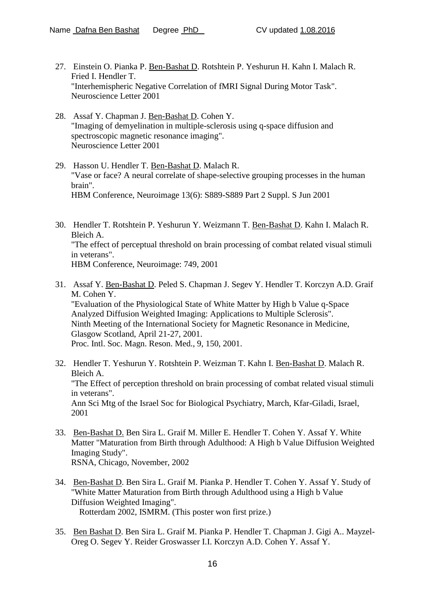- 27. Einstein O. Pianka P. Ben-Bashat D. Rotshtein P. Yeshurun H. Kahn I. Malach R. Fried I. Hendler T. "Interhemispheric Negative Correlation of fMRI Signal During Motor Task". Neuroscience Letter 2001
- 28. Assaf Y. Chapman J. Ben-Bashat D. Cohen Y. "Imaging of demyelination in multiple-sclerosis using q-space diffusion and spectroscopic magnetic resonance imaging". Neuroscience Letter 2001
- 29. Hasson U. Hendler T. Ben-Bashat D. Malach R. "Vase or face? A neural correlate of shape-selective grouping processes in the human brain". HBM Conference, Neuroimage 13(6): S889-S889 Part 2 Suppl. S Jun 2001
- 30. Hendler T. Rotshtein P. Yeshurun Y. Weizmann T. Ben-Bashat D. Kahn I. Malach R. Bleich A. "The effect of perceptual threshold on brain processing of combat related visual stimuli in veterans". HBM Conference, Neuroimage: 749, 2001
- 31. Assaf Y. Ben-Bashat D. Peled S. Chapman J. Segev Y. Hendler T. Korczyn A.D. Graif M. Cohen Y. "Evaluation of the Physiological State of White Matter by High b Value q-Space Analyzed Diffusion Weighted Imaging: Applications to Multiple Sclerosis". Ninth Meeting of the International Society for Magnetic Resonance in Medicine, Glasgow Scotland, April 21-27, 2001. Proc. Intl. Soc. Magn. Reson. Med., 9, 150, 2001.
- 32. Hendler T. Yeshurun Y. Rotshtein P. Weizman T. Kahn I. Ben-Bashat D. Malach R. Bleich A. "The Effect of perception threshold on brain processing of combat related visual stimuli in veterans". Ann Sci Mtg of the Israel Soc for Biological Psychiatry, March, Kfar-Giladi, Israel, 2001
- 33. Ben-Bashat D. Ben Sira L. Graif M. Miller E. Hendler T. Cohen Y. Assaf Y. White Matter "Maturation from Birth through Adulthood: A High b Value Diffusion Weighted Imaging Study". RSNA, Chicago, November, 2002
- 34. Ben-Bashat D. Ben Sira L. Graif M. Pianka P. Hendler T. Cohen Y. Assaf Y. Study of "White Matter Maturation from Birth through Adulthood using a High b Value Diffusion Weighted Imaging". Rotterdam 2002, ISMRM. (This poster won first prize.)
- 35. Ben Bashat D. Ben Sira L. Graif M. Pianka P. Hendler T. Chapman J. Gigi A.. Mayzel-Oreg O. Segev Y. Reider Groswasser I.I. Korczyn A.D. Cohen Y. Assaf Y.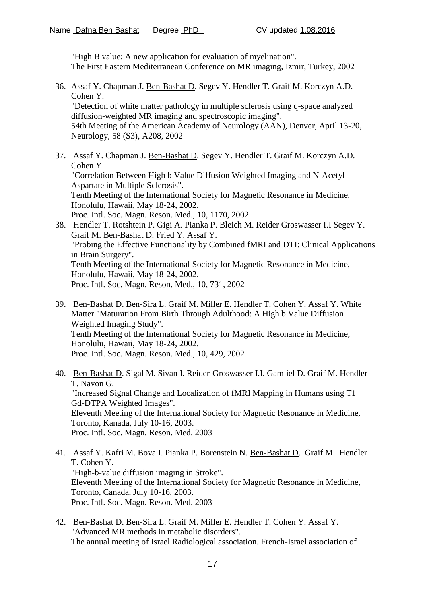"High B value: A new application for evaluation of myelination". The First Eastern Mediterranean Conference on MR imaging, Izmir, Turkey, 2002

- 36. Assaf Y. Chapman J. Ben-Bashat D. Segev Y. Hendler T. Graif M. Korczyn A.D. Cohen Y. "Detection of white matter pathology in multiple sclerosis using q-space analyzed diffusion-weighted MR imaging and spectroscopic imaging". 54th Meeting of the American Academy of Neurology (AAN), Denver, April 13-20, Neurology, 58 (S3), A208, 2002
- 37. Assaf Y. Chapman J. Ben-Bashat D. Segev Y. Hendler T. Graif M. Korczyn A.D. Cohen Y. "Correlation Between High b Value Diffusion Weighted Imaging and N-Acetyl-Aspartate in Multiple Sclerosis". Tenth Meeting of the International Society for Magnetic Resonance in Medicine, Honolulu, Hawaii, May 18-24, 2002. Proc. Intl. Soc. Magn. Reson. Med., 10, 1170, 2002 38. Hendler T. Rotshtein P. Gigi A. Pianka P. Bleich M. Reider Groswasser I.I Segev Y.
- Graif M. Ben-Bashat D. Fried Y. Assaf Y. "Probing the Effective Functionality by Combined fMRI and DTI: Clinical Applications in Brain Surgery". Tenth Meeting of the International Society for Magnetic Resonance in Medicine, Honolulu, Hawaii, May 18-24, 2002. Proc. Intl. Soc. Magn. Reson. Med., 10, 731, 2002
- 39. Ben-Bashat D. Ben-Sira L. Graif M. Miller E. Hendler T. Cohen Y. Assaf Y. White Matter "Maturation From Birth Through Adulthood: A High b Value Diffusion Weighted Imaging Study". Tenth Meeting of the International Society for Magnetic Resonance in Medicine, Honolulu, Hawaii, May 18-24, 2002. Proc. Intl. Soc. Magn. Reson. Med., 10, 429, 2002
- 40. Ben-Bashat D. Sigal M. Sivan I. Reider-Groswasser I.I. Gamliel D. Graif M. Hendler T. Navon G. "Increased Signal Change and Localization of fMRI Mapping in Humans using T1 Gd-DTPA Weighted Images". Eleventh Meeting of the International Society for Magnetic Resonance in Medicine, Toronto, Kanada, July 10-16, 2003. Proc. Intl. Soc. Magn. Reson. Med. 2003
- 41. Assaf Y. Kafri M. Bova I. Pianka P. Borenstein N. Ben-Bashat D. Graif M. Hendler T. Cohen Y. "High-b-value diffusion imaging in Stroke". Eleventh Meeting of the International Society for Magnetic Resonance in Medicine, Toronto, Canada, July 10-16, 2003. Proc. Intl. Soc. Magn. Reson. Med. 2003
- 42. Ben-Bashat D. Ben-Sira L. Graif M. Miller E. Hendler T. Cohen Y. Assaf Y. "Advanced MR methods in metabolic disorders". The annual meeting of Israel Radiological association. French-Israel association of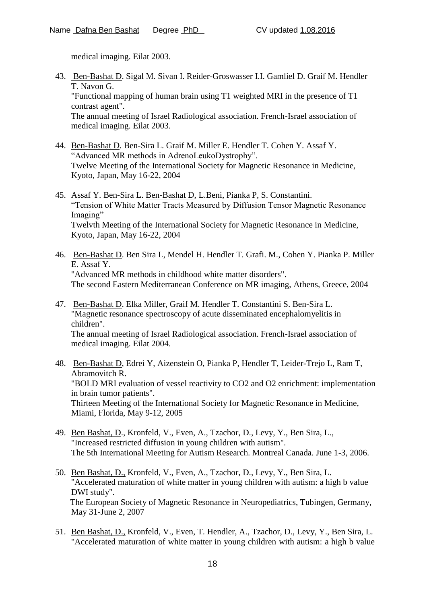medical imaging. Eilat 2003.

43. Ben-Bashat D. Sigal M. Sivan I. Reider-Groswasser I.I. Gamliel D. Graif M. Hendler T. Navon G.

"Functional mapping of human brain using T1 weighted MRI in the presence of T1 contrast agent".

The annual meeting of Israel Radiological association. French-Israel association of medical imaging. Eilat 2003.

- 44. Ben-Bashat D. Ben-Sira L. Graif M. Miller E. Hendler T. Cohen Y. Assaf Y. "Advanced MR methods in AdrenoLeukoDystrophy". Twelve Meeting of the International Society for Magnetic Resonance in Medicine, Kyoto, Japan, May 16-22, 2004
- 45. Assaf Y. Ben-Sira L. Ben-Bashat D, L.Beni, Pianka P, S. Constantini. "Tension of White Matter Tracts Measured by Diffusion Tensor Magnetic Resonance Imaging" Twelvth Meeting of the International Society for Magnetic Resonance in Medicine, Kyoto, Japan, May 16-22, 2004
- 46. Ben-Bashat D. Ben Sira L, Mendel H. Hendler T. Grafi. M., Cohen Y. Pianka P. Miller E. Assaf Y. "Advanced MR methods in childhood white matter disorders". The second Eastern Mediterranean Conference on MR imaging, Athens, Greece, 2004
- 47. Ben-Bashat D. Elka Miller, Graif M. Hendler T. Constantini S. Ben-Sira L. "Magnetic resonance spectroscopy of acute disseminated encephalomyelitis in children".

The annual meeting of Israel Radiological association. French-Israel association of medical imaging. Eilat 2004.

- 48. Ben-Bashat D, Edrei Y, Aizenstein O, Pianka P, Hendler T, Leider-Trejo L, Ram T, Abramovitch R. "BOLD MRI evaluation of vessel reactivity to CO2 and O2 enrichment: implementation in brain tumor patients". Thirteen Meeting of the International Society for Magnetic Resonance in Medicine, Miami, Florida, May 9-12, 2005
- 49. Ben Bashat, D., Kronfeld, V., Even, A., Tzachor, D., Levy, Y., Ben Sira, L., "Increased restricted diffusion in young children with autism". The 5th International Meeting for Autism Research. Montreal Canada. June 1-3, 2006.
- 50. Ben Bashat, D., Kronfeld, V., Even, A., Tzachor, D., Levy, Y., Ben Sira, L. "Accelerated maturation of white matter in young children with autism: a high b value DWI study". The European Society of Magnetic Resonance in Neuropediatrics, Tubingen, Germany, May 31-June 2, 2007
- 51. Ben Bashat, D., Kronfeld, V., Even, T. Hendler, A., Tzachor, D., Levy, Y., Ben Sira, L. "Accelerated maturation of white matter in young children with autism: a high b value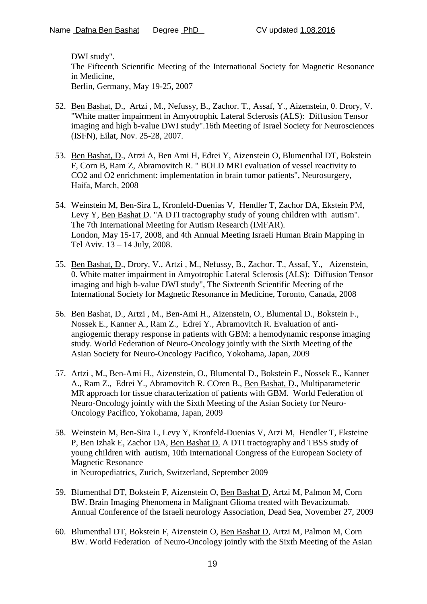DWI study". The Fifteenth Scientific Meeting of the International Society for Magnetic Resonance in Medicine, Berlin, Germany, May 19-25, 2007

- 52. Ben Bashat, D., Artzi , M., Nefussy, B., Zachor. T., Assaf, Y., Aizenstein, 0. Drory, V. "White matter impairment in Amyotrophic Lateral Sclerosis (ALS): Diffusion Tensor imaging and high b-value DWI study".16th Meeting of Israel Society for Neurosciences (ISFN), Eilat, Nov. 25-28, 2007.
- 53. Ben Bashat, D., Atrzi A, Ben Ami H, Edrei Y, Aizenstein O, Blumenthal DT, Bokstein F, Corn B, Ram Z, Abramovitch R. " BOLD MRI evaluation of vessel reactivity to CO2 and O2 enrichment: implementation in brain tumor patients", Neurosurgery, Haifa, March, 2008
- 54. Weinstein M, Ben-Sira L, Kronfeld-Duenias V, Hendler T, Zachor DA, Ekstein PM, Levy Y, Ben Bashat D. "A DTI tractography study of young children with autism". The 7th International Meeting for Autism Research (IMFAR). London, May 15-17, 2008, and 4th Annual Meeting Israeli Human Brain Mapping in Tel Aviv. 13 – 14 July, 2008.
- 55. Ben Bashat, D., Drory, V., Artzi , M., Nefussy, B., Zachor. T., Assaf, Y., Aizenstein, 0. White matter impairment in Amyotrophic Lateral Sclerosis (ALS): Diffusion Tensor imaging and high b-value DWI study", The Sixteenth Scientific Meeting of the International Society for Magnetic Resonance in Medicine, Toronto, Canada, 2008
- 56. Ben Bashat, D., Artzi , M., Ben-Ami H., Aizenstein, O., Blumental D., Bokstein F., Nossek E., Kanner A., Ram Z., Edrei Y., Abramovitch R. Evaluation of antiangiogemic therapy response in patients with GBM: a hemodynamic response imaging study. World Federation of Neuro-Oncology jointly with the Sixth Meeting of the Asian Society for Neuro-Oncology Pacifico, Yokohama, Japan, 2009
- 57. Artzi , M., Ben-Ami H., Aizenstein, O., Blumental D., Bokstein F., Nossek E., Kanner A., Ram Z., Edrei Y., Abramovitch R. COren B., Ben Bashat, D., Multiparameteric MR approach for tissue characterization of patients with GBM. World Federation of Neuro-Oncology jointly with the Sixth Meeting of the Asian Society for Neuro-Oncology Pacifico, Yokohama, Japan, 2009
- 58. Weinstein M, Ben-Sira L, Levy Y, Kronfeld-Duenias V, Arzi M, Hendler T, Eksteine P, Ben Izhak E, Zachor DA, Ben Bashat D. A DTI tractography and TBSS study of young children with autism, 10th International Congress of the European Society of Magnetic Resonance in Neuropediatrics, Zurich, Switzerland, September 2009
- 59. Blumenthal DT, Bokstein F, Aizenstein O, Ben Bashat D, Artzi M, Palmon M, Corn BW. Brain Imaging Phenomena in Malignant Glioma treated with Bevacizumab. Annual Conference of the Israeli neurology Association, Dead Sea, November 27, 2009
- 60. Blumenthal DT, Bokstein F, Aizenstein O, Ben Bashat D, Artzi M, Palmon M, Corn BW. World Federation of Neuro-Oncology jointly with the Sixth Meeting of the Asian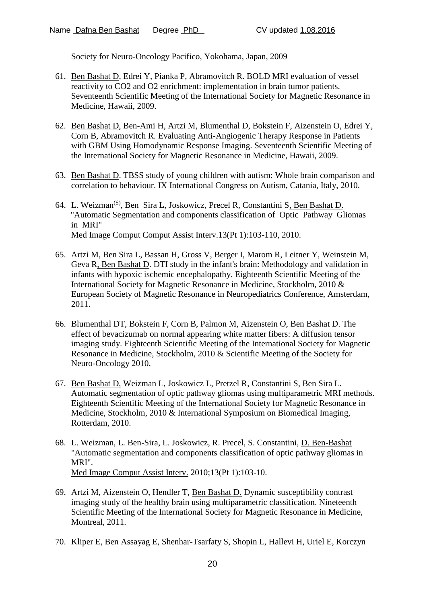Society for Neuro-Oncology Pacifico, Yokohama, Japan, 2009

- 61. Ben Bashat D, Edrei Y, Pianka P, Abramovitch R. BOLD MRI evaluation of vessel reactivity to CO2 and O2 enrichment: implementation in brain tumor patients. Seventeenth Scientific Meeting of the International Society for Magnetic Resonance in Medicine, Hawaii, 2009.
- 62. [Ben Bashat D,](javascript:top.frames[1].qw(1,%201,%20749);) [Ben-Ami H,](javascript:top.frames[1].qw(1,%201,%20746);) [Artzi M,](javascript:top.frames[1].qw(1,%200,%20369);) [Blumenthal D,](javascript:top.frames[1].qw(1,%201,%20955);) [Bokstein F,](javascript:top.frames[1].qw(1,%201,%201003);) [Aizenstein O,](javascript:top.frames[1].qw(1,%200,%20124);) [Edrei Y,](javascript:top.frames[1].qw(1,%204,%202711);) [Corn B,](javascript:top.frames[1].qw(1,%202,%202023);) [Abramovitch R.](javascript:top.frames[1].qw(1,%200,%2035);) Evaluating Anti-Angiogenic Therapy Response in Patients with GBM Using Homodynamic Response Imaging. Seventeenth Scientific Meeting of the International Society for Magnetic Resonance in Medicine, Hawaii, 2009.
- 63. Ben Bashat D. TBSS study of young children with autism: Whole brain comparison and correlation to behaviour. IX International Congress on Autism, Catania, Italy, 2010.
- 64. L. Weizman<sup>(S)</sup>, Ben Sira L, Joskowicz, Precel R, Constantini S, Ben Bashat D. "Automatic Segmentation and components classification of Optic Pathway Gliomas in MRI" Med Image Comput Comput Assist Interv.13(Pt 1):103-110, 2010.
- 65. Artzi M, Ben Sira L, Bassan H, Gross V, Berger I, Marom R, Leitner Y, Weinstein M, Geva R, Ben Bashat D. DTI study in the infant's brain: Methodology and validation in infants with hypoxic ischemic encephalopathy. Eighteenth Scientific Meeting of the International Society for Magnetic Resonance in Medicine, Stockholm, 2010 & European Society of Magnetic Resonance in Neuropediatrics Conference, Amsterdam, 2011.
- 66. Blumenthal DT, Bokstein F, Corn B, Palmon M, Aizenstein O, Ben Bashat D. The effect of bevacizumab on normal appearing white matter fibers: A diffusion tensor imaging study. Eighteenth Scientific Meeting of the International Society for Magnetic Resonance in Medicine, Stockholm, 2010 & Scientific Meeting of the Society for Neuro-Oncology 2010.
- 67. Ben Bashat D, Weizman L, Joskowicz L, Pretzel R, Constantini S, Ben Sira L. Automatic segmentation of optic pathway gliomas using multiparametric MRI methods. Eighteenth Scientific Meeting of the International Society for Magnetic Resonance in Medicine, Stockholm, 2010 & International Symposium on Biomedical Imaging, Rotterdam, 2010.
- 68. L. Weizman, L. Ben-Sira, L. Joskowicz, R. Precel, S. Constantini, D. Ben-Bashat "Automatic segmentation and components classification of optic pathway gliomas in MRI". [Med Image Comput Assist Interv.](javascript:AL_get(this,%20) 2010;13(Pt 1):103-10.
- 69. Artzi M, Aizenstein O, Hendler T, Ben Bashat D. Dynamic susceptibility contrast imaging study of the healthy brain using multiparametric classification. Nineteenth Scientific Meeting of the International Society for Magnetic Resonance in Medicine, Montreal, 2011.
- 70. Kliper E, Ben Assayag E, Shenhar-Tsarfaty S, Shopin L, Hallevi H, Uriel E, Korczyn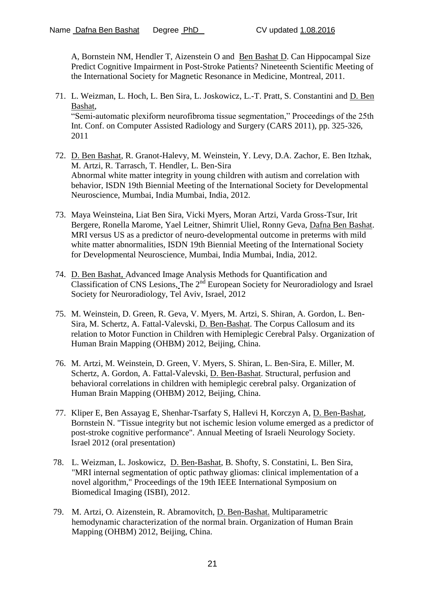A, Bornstein NM, Hendler T, Aizenstein O and Ben Bashat D. Can Hippocampal Size Predict Cognitive Impairment in Post-Stroke Patients? Nineteenth Scientific Meeting of the International Society for Magnetic Resonance in Medicine, Montreal, 2011.

- 71. L. Weizman, L. Hoch, L. Ben Sira, L. Joskowicz, L.-T. Pratt, S. Constantini and D. Ben Bashat, "Semi-automatic plexiform neurofibroma tissue segmentation," Proceedings of the 25th Int. Conf. on Computer Assisted Radiology and Surgery (CARS 2011), pp. 325-326, 2011
- 72. D. Ben Bashat, R. Granot-Halevy, M. Weinstein, Y. Levy, D.A. Zachor, E. Ben Itzhak, M. Artzi, R. Tarrasch, T. Hendler, L. Ben-Sira Abnormal white matter integrity in young children with autism and correlation with behavior, ISDN 19th Biennial Meeting of the International Society for Developmental Neuroscience, Mumbai, India Mumbai, India, 2012.
- 73. Maya Weinsteina, Liat Ben Sira, Vicki Myers, Moran Artzi, Varda Gross-Tsur, Irit Bergere, Ronella Marome, Yael Leitner, Shimrit Uliel, Ronny Geva, Dafna Ben Bashat. MRI versus US as a predictor of neuro-developmental outcome in preterms with mild white matter abnormalities, ISDN 19th Biennial Meeting of the International Society for Developmental Neuroscience, Mumbai, India Mumbai, India, 2012.
- 74. D. Ben Bashat, Advanced Image Analysis Methods for Quantification and  $\overline{\text{Classification of CNS} }$  Lesions, The  $2^{nd}$  European Society for Neuroradiology and Israel Society for Neuroradiology, Tel Aviv, Israel, 2012
- 75. M. Weinstein, D. Green, R. Geva, V. Myers, M. Artzi, S. Shiran, A. Gordon, L. Ben-Sira, M. Schertz, A. Fattal-Valevski, D. Ben-Bashat. The Corpus Callosum and its relation to Motor Function in Children with Hemiplegic Cerebral Palsy. Organization of Human Brain Mapping (OHBM) 2012, Beijing, China.
- 76. M. Artzi, M. Weinstein, D. Green, V. Myers, S. Shiran, L. Ben-Sira, E. Miller, M. Schertz, A. Gordon, A. Fattal-Valevski, D. Ben-Bashat. Structural, perfusion and behavioral correlations in children with hemiplegic cerebral palsy. Organization of Human Brain Mapping (OHBM) 2012, Beijing, China.
- 77. Kliper E, Ben Assayag E, Shenhar-Tsarfaty S, Hallevi H, Korczyn A, D. Ben-Bashat, Bornstein N. "Tissue integrity but not ischemic lesion volume emerged as a predictor of post-stroke cognitive performance". Annual Meeting of Israeli Neurology Society. Israel 2012 (oral presentation)
- 78. L. Weizman, L. Joskowicz, D. Ben-Bashat, B. Shofty, S. Constatini, L. Ben Sira, "MRI internal segmentation of optic pathway gliomas: clinical implementation of a novel algorithm," Proceedings of the 19th IEEE International Symposium on Biomedical Imaging (ISBI), 2012.
- 79. M. Artzi, O. Aizenstein, R. Abramovitch, D. Ben-Bashat. Multiparametric hemodynamic characterization of the normal brain. Organization of Human Brain Mapping (OHBM) 2012, Beijing, China.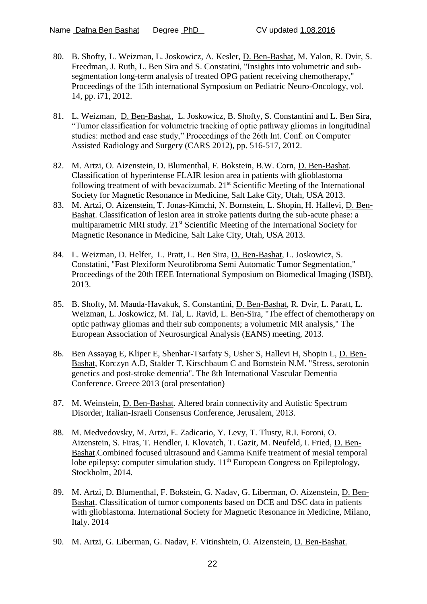- 80. B. Shofty, L. Weizman, L. Joskowicz, A. Kesler, D. Ben-Bashat, M. Yalon, R. Dvir, S. Freedman, J. Ruth, L. Ben Sira and S. Constatini, "Insights into volumetric and subsegmentation long-term analysis of treated OPG patient receiving chemotherapy," Proceedings of the 15th international Symposium on Pediatric Neuro-Oncology, vol. 14, pp. i71, 2012.
- 81. L. Weizman, D. Ben-Bashat, L. Joskowicz, B. Shofty, S. Constantini and L. Ben Sira, "Tumor classification for volumetric tracking of optic pathway gliomas in longitudinal studies: method and case study," Proceedings of the 26th Int. Conf. on Computer Assisted Radiology and Surgery (CARS 2012), pp. 516-517, 2012.
- 82. M. Artzi, O. Aizenstein, D. Blumenthal, F. Bokstein, B.W. Corn, D. Ben-Bashat. Classification of hyperintense FLAIR lesion area in patients with glioblastoma following treatment of with bevacizumab. 21<sup>st</sup> Scientific Meeting of the International Society for Magnetic Resonance in Medicine, Salt Lake City, Utah, USA 2013.
- 83. M. Artzi, O. Aizenstein, T. Jonas-Kimchi, N. Bornstein, L. Shopin, H. Hallevi, D. Ben-Bashat. Classification of lesion area in stroke patients during the sub-acute phase: a multiparametric MRI study. 21<sup>st</sup> Scientific Meeting of the International Society for Magnetic Resonance in Medicine, Salt Lake City, Utah, USA 2013.
- 84. L. Weizman, D. Helfer, L. Pratt, L. Ben Sira, D. Ben-Bashat, L. Joskowicz, S. Constatini, "Fast Plexiform Neurofibroma Semi Automatic Tumor Segmentation," Proceedings of the 20th IEEE International Symposium on Biomedical Imaging (ISBI), 2013.
- 85. B. Shofty, M. Mauda-Havakuk, S. Constantini, D. Ben-Bashat, R. Dvir, L. Paratt, L. Weizman, L. Joskowicz, M. Tal, L. Ravid, L. Ben-Sira, "The effect of chemotherapy on optic pathway gliomas and their sub components; a volumetric MR analysis," The European Association of Neurosurgical Analysis (EANS) meeting, 2013.
- 86. Ben Assayag E, Kliper E, Shenhar-Tsarfaty S, Usher S, Hallevi H, Shopin L, D. Ben-Bashat, Korczyn A.D, Stalder T, Kirschbaum C and Bornstein N.M. "Stress, serotonin genetics and post-stroke dementia". The 8th International Vascular Dementia Conference. Greece 2013 (oral presentation)
- 87. M. Weinstein, D. Ben-Bashat. Altered brain connectivity and Autistic Spectrum Disorder, Italian-Israeli Consensus Conference, Jerusalem, 2013.
- 88. M. Medvedovsky, M. Artzi, E. Zadicario, Y. Levy, T. Tlusty, R.I. Foroni, O. Aizenstein, S. Firas, T. Hendler, I. Klovatch, T. Gazit, M. Neufeld, I. Fried, D. Ben-Bashat.Combined focused ultrasound and Gamma Knife treatment of mesial temporal lobe epilepsy: computer simulation study.  $11<sup>th</sup>$  European Congress on Epileptology, Stockholm, 2014.
- 89. M. Artzi, D. Blumenthal, F. Bokstein, G. Nadav, G. Liberman, O. Aizenstein, D. Ben-Bashat. Classification of tumor components based on DCE and DSC data in patients with glioblastoma. International Society for Magnetic Resonance in Medicine, Milano, Italy. 2014
- 90. M. Artzi, G. Liberman, G. Nadav, F. Vitinshtein, O. Aizenstein, D. Ben-Bashat.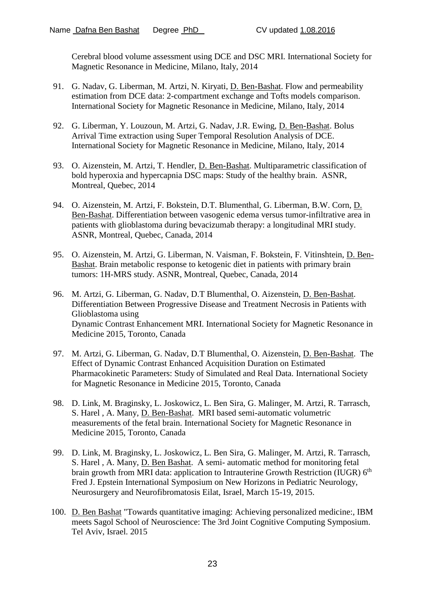Cerebral blood volume assessment using DCE and DSC MRI. International Society for Magnetic Resonance in Medicine, Milano, Italy, 2014

- 91. G. Nadav, G. Liberman, M. Artzi, N. Kiryati, D. Ben-Bashat. Flow and permeability estimation from DCE data: 2-compartment exchange and Tofts models comparison. International Society for Magnetic Resonance in Medicine, Milano, Italy, 2014
- 92. G. Liberman, Y. Louzoun, M. Artzi, G. Nadav, J.R. Ewing, D. Ben-Bashat. Bolus Arrival Time extraction using Super Temporal Resolution Analysis of DCE. International Society for Magnetic Resonance in Medicine, Milano, Italy, 2014
- 93. O. Aizenstein, M. Artzi, T. Hendler, D. Ben-Bashat. Multiparametric classification of bold hyperoxia and hypercapnia DSC maps: Study of the healthy brain. ASNR, Montreal, Quebec, 2014
- 94. O. Aizenstein, M. Artzi, F. Bokstein, D.T. Blumenthal, G. Liberman, B.W. Corn, D. Ben-Bashat. Differentiation between vasogenic edema versus tumor-infiltrative area in patients with glioblastoma during bevacizumab therapy: a longitudinal MRI study. ASNR, Montreal, Quebec, Canada, 2014
- 95. O. Aizenstein, M. Artzi, G. Liberman, N. Vaisman, F. Bokstein, F. Vitinshtein, D. Ben-Bashat. Brain metabolic response to ketogenic diet in patients with primary brain tumors: 1H-MRS study. ASNR, Montreal, Quebec, Canada, 2014
- 96. M. Artzi, G. Liberman, G. Nadav, D.T Blumenthal, O. Aizenstein, D. Ben-Bashat. Differentiation Between Progressive Disease and Treatment Necrosis in Patients with Glioblastoma using Dynamic Contrast Enhancement MRI. International Society for Magnetic Resonance in Medicine 2015, Toronto, Canada
- 97. M. Artzi, G. Liberman, G. Nadav, D.T Blumenthal, O. Aizenstein, D. Ben-Bashat. The Effect of Dynamic Contrast Enhanced Acquisition Duration on Estimated Pharmacokinetic Parameters: Study of Simulated and Real Data. International Society for Magnetic Resonance in Medicine 2015, Toronto, Canada
- 98. D. Link, M. Braginsky, L. Joskowicz, L. Ben Sira, G. Malinger, M. Artzi, R. Tarrasch, S. Harel , A. Many, D. Ben-Bashat. MRI based semi-automatic volumetric measurements of the fetal brain. International Society for Magnetic Resonance in Medicine 2015, Toronto, Canada
- 99. D. Link, M. Braginsky, L. Joskowicz, L. Ben Sira, G. Malinger, M. Artzi, R. Tarrasch, S. Harel , A. Many, D. Ben Bashat. A semi- automatic method for monitoring fetal brain growth from MRI data: application to Intrauterine Growth Restriction (IUGR) 6<sup>th</sup> Fred J. Epstein International Symposium on New Horizons in Pediatric Neurology, Neurosurgery and Neurofibromatosis Eilat, Israel, March 15-19, 2015.
- 100. D. Ben Bashat "Towards quantitative imaging: Achieving personalized medicine:, IBM meets Sagol School of Neuroscience: The 3rd Joint Cognitive Computing Symposium. Tel Aviv, Israel. 2015